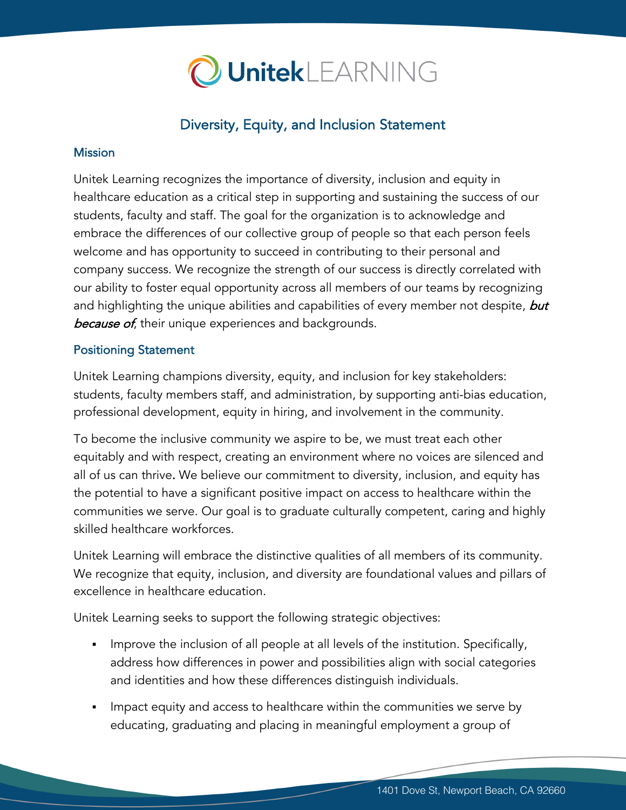

# Diversity, Equity, and Inclusion Statement

#### **Mission**

Unitek Learning recognizes the importance of diversity, inclusion and equity in healthcare education as a critical step in supporting and sustaining the success of our students, faculty and staff. The goal for the organization is to acknowledge and embrace the differences of our collective group of people so that each person feels welcome and has opportunity to succeed in contributing to their personal and company success. We recognize the strength of our success is directly correlated with our ability to foster equal opportunity across all members of our teams by recognizing and highlighting the unique abilities and capabilities of every member not despite, but because of, their unique experiences and backgrounds.

### Positioning Statement

Unitek Learning champions diversity, equity, and inclusion for key stakeholders: students, faculty members staff, and administration, by supporting anti-bias education, professional development, equity in hiring, and involvement in the community.

To become the inclusive community we aspire to be, we must treat each other equitably and with respect, creating an environment where no voices are silenced and all of us can thrive. We believe our commitment to diversity, inclusion, and equity has the potential to have a significant positive impact on access to healthcare within the communities we serve. Our goal is to graduate culturally competent, caring and highly skilled healthcare workforces.

Unitek Learning will embrace the distinctive qualities of all members of its community. We recognize that equity, inclusion, and diversity are foundational values and pillars of excellence in healthcare education.

Unitek Learning seeks to support the following strategic objectives:

- Improve the inclusion of all people at all levels of the institution. Specifically, address how differences in power and possibilities align with social categories and identities and how these differences distinguish individuals.
- Impact equity and access to healthcare within the communities we serve by educating, graduating and placing in meaningful employment a group of